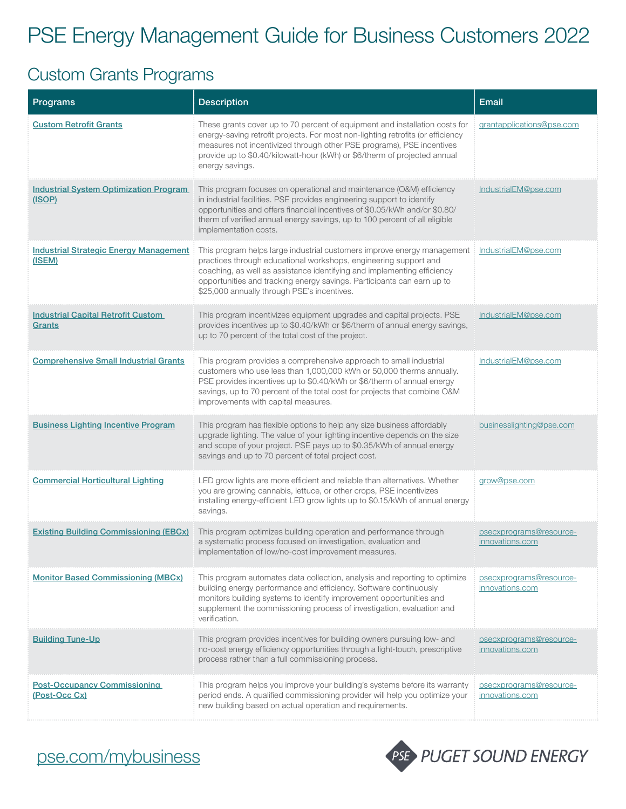# PSE Energy Management Guide for Business Customers 2022

#### Custom Grants Programs

| Programs                                                | <b>Description</b>                                                                                                                                                                                                                                                                                                                              | Email                                      |
|---------------------------------------------------------|-------------------------------------------------------------------------------------------------------------------------------------------------------------------------------------------------------------------------------------------------------------------------------------------------------------------------------------------------|--------------------------------------------|
| <b>Custom Retrofit Grants</b>                           | These grants cover up to 70 percent of equipment and installation costs for<br>energy-saving retrofit projects. For most non-lighting retrofits (or efficiency<br>measures not incentivized through other PSE programs), PSE incentives<br>provide up to \$0.40/kilowatt-hour (kWh) or \$6/therm of projected annual<br>energy savings.         | grantapplications@pse.com                  |
| <b>Industrial System Optimization Program</b><br>(ISOP) | This program focuses on operational and maintenance (O&M) efficiency<br>in industrial facilities. PSE provides engineering support to identify<br>opportunities and offers financial incentives of \$0.05/kWh and/or \$0.80/<br>therm of verified annual energy savings, up to 100 percent of all eligible<br>implementation costs.             | IndustrialEM@pse.com                       |
| <b>Industrial Strategic Energy Management</b><br>(ISEM) | This program helps large industrial customers improve energy management<br>practices through educational workshops, engineering support and<br>coaching, as well as assistance identifying and implementing efficiency<br>opportunities and tracking energy savings. Participants can earn up to<br>\$25,000 annually through PSE's incentives. | <u>IndustrialEM@pse.com</u>                |
| <b>Industrial Capital Retrofit Custom</b><br>Grants     | This program incentivizes equipment upgrades and capital projects. PSE<br>provides incentives up to \$0.40/kWh or \$6/therm of annual energy savings,<br>up to 70 percent of the total cost of the project.                                                                                                                                     | IndustrialEM@pse.com                       |
| <b>Comprehensive Small Industrial Grants</b>            | This program provides a comprehensive approach to small industrial<br>customers who use less than 1,000,000 kWh or 50,000 therms annually.<br>PSE provides incentives up to \$0.40/kWh or \$6/therm of annual energy<br>savings, up to 70 percent of the total cost for projects that combine O&M<br>improvements with capital measures.        | IndustrialEM@pse.com                       |
| <b>Business Lighting Incentive Program</b>              | This program has flexible options to help any size business affordably<br>upgrade lighting. The value of your lighting incentive depends on the size<br>and scope of your project. PSE pays up to \$0.35/kWh of annual energy<br>savings and up to 70 percent of total project cost.                                                            | businesslighting@pse.com                   |
| <b>Commercial Horticultural Lighting</b>                | LED grow lights are more efficient and reliable than alternatives. Whether<br>you are growing cannabis, lettuce, or other crops, PSE incentivizes<br>installing energy-efficient LED grow lights up to \$0.15/kWh of annual energy<br>savings.                                                                                                  | grow@pse.com                               |
| <b>Existing Building Commissioning (EBCx)</b>           | This program optimizes building operation and performance through<br>a systematic process focused on investigation, evaluation and<br>implementation of low/no-cost improvement measures.                                                                                                                                                       | psecxprograms@resource-<br>innovations.com |
| <b>Monitor Based Commissioning (MBCx)</b>               | This program automates data collection, analysis and reporting to optimize<br>building energy performance and efficiency. Software continuously<br>monitors building systems to identify improvement opportunities and<br>supplement the commissioning process of investigation, evaluation and<br>verification.                                | psecxprograms@resource-<br>innovations.com |
| <b>Building Tune-Up</b>                                 | This program provides incentives for building owners pursuing low- and<br>no-cost energy efficiency opportunities through a light-touch, prescriptive<br>process rather than a full commissioning process.                                                                                                                                      | psecxprograms@resource-<br>innovations.com |
| <b>Post-Occupancy Commissioning</b><br>(Post-Occ Cx)    | This program helps you improve your building's systems before its warranty<br>period ends. A qualified commissioning provider will help you optimize your<br>new building based on actual operation and requirements.                                                                                                                           | psecxprograms@resource-<br>innovations.com |



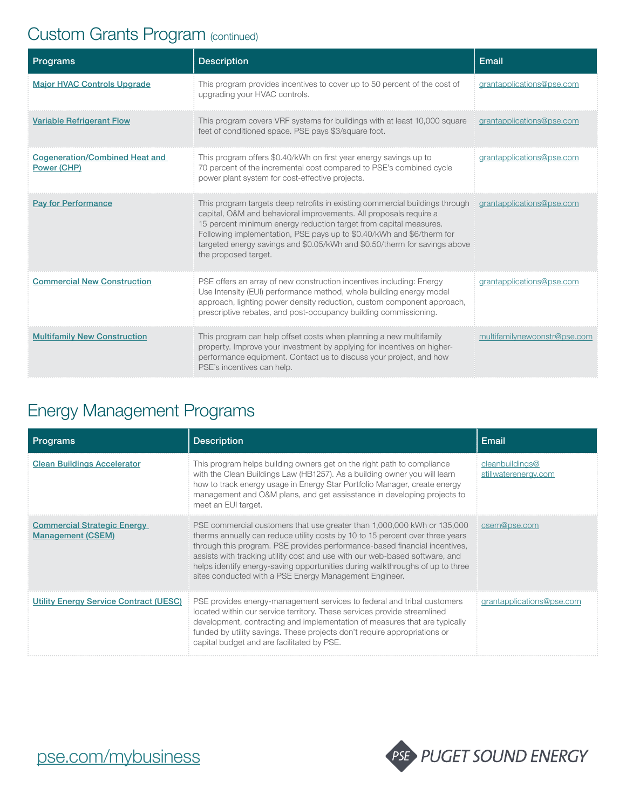### Custom Grants Program (continued)

| Programs                                             | <b>Description</b>                                                                                                                                                                                                                                                                                                                                                                                   | Email                        |
|------------------------------------------------------|------------------------------------------------------------------------------------------------------------------------------------------------------------------------------------------------------------------------------------------------------------------------------------------------------------------------------------------------------------------------------------------------------|------------------------------|
| <b>Major HVAC Controls Upgrade</b>                   | This program provides incentives to cover up to 50 percent of the cost of<br>upgrading your HVAC controls.                                                                                                                                                                                                                                                                                           | grantapplications@pse.com    |
| <b>Variable Refrigerant Flow</b>                     | This program covers VRF systems for buildings with at least 10,000 square<br>feet of conditioned space. PSE pays \$3/square foot.                                                                                                                                                                                                                                                                    | grantapplications@pse.com    |
| <b>Cogeneration/Combined Heat and</b><br>Power (CHP) | This program offers \$0.40/kWh on first year energy savings up to<br>70 percent of the incremental cost compared to PSE's combined cycle<br>power plant system for cost-effective projects.                                                                                                                                                                                                          | grantapplications@pse.com    |
| <b>Pay for Performance</b>                           | This program targets deep retrofits in existing commercial buildings through<br>capital, O&M and behavioral improvements. All proposals require a<br>15 percent minimum energy reduction target from capital measures.<br>Following implementation, PSE pays up to \$0.40/kWh and \$6/therm for<br>targeted energy savings and \$0.05/kWh and \$0.50/therm for savings above<br>the proposed target. | grantapplications@pse.com    |
| <b>Commercial New Construction</b>                   | PSE offers an array of new construction incentives including: Energy<br>Use Intensity (EUI) performance method, whole building energy model<br>approach, lighting power density reduction, custom component approach,<br>prescriptive rebates, and post-occupancy building commissioning.                                                                                                            | grantapplications@pse.com    |
| <b>Multifamily New Construction</b>                  | This program can help offset costs when planning a new multifamily<br>property. Improve your investment by applying for incentives on higher-<br>performance equipment. Contact us to discuss your project, and how<br>PSE's incentives can help.                                                                                                                                                    | multifamilynewconstr@pse.com |

### Energy Management Programs

| <u>Programs</u>                                                | <b>Description</b>                                                                                                                                                                                                                                                                                                                                                                                                                                               | Email                                   |
|----------------------------------------------------------------|------------------------------------------------------------------------------------------------------------------------------------------------------------------------------------------------------------------------------------------------------------------------------------------------------------------------------------------------------------------------------------------------------------------------------------------------------------------|-----------------------------------------|
| <b>Clean Buildings Accelerator</b>                             | This program helps building owners get on the right path to compliance<br>with the Clean Buildings Law (HB1257). As a building owner you will learn<br>how to track energy usage in Energy Star Portfolio Manager, create energy<br>management and O&M plans, and get assisstance in developing projects to<br>meet an EUI target.                                                                                                                               | cleanbuildings@<br>stillwaterenergy.com |
| <b>Commercial Strategic Energy</b><br><b>Management (CSEM)</b> | PSE commercial customers that use greater than 1,000,000 kWh or 135,000<br>therms annually can reduce utility costs by 10 to 15 percent over three years<br>through this program. PSE provides performance-based financial incentives,<br>assists with tracking utility cost and use with our web-based software, and<br>helps identify energy-saving opportunities during walkthroughs of up to three<br>sites conducted with a PSE Energy Management Engineer. | csem@pse.com                            |
| <b>Utility Energy Service Contract (UESC)</b>                  | PSE provides energy-management services to federal and tribal customers<br>located within our service territory. These services provide streamlined<br>development, contracting and implementation of measures that are typically<br>funded by utility savings. These projects don't require appropriations or<br>capital budget and are facilitated by PSE.                                                                                                     | grantapplications@pse.com               |